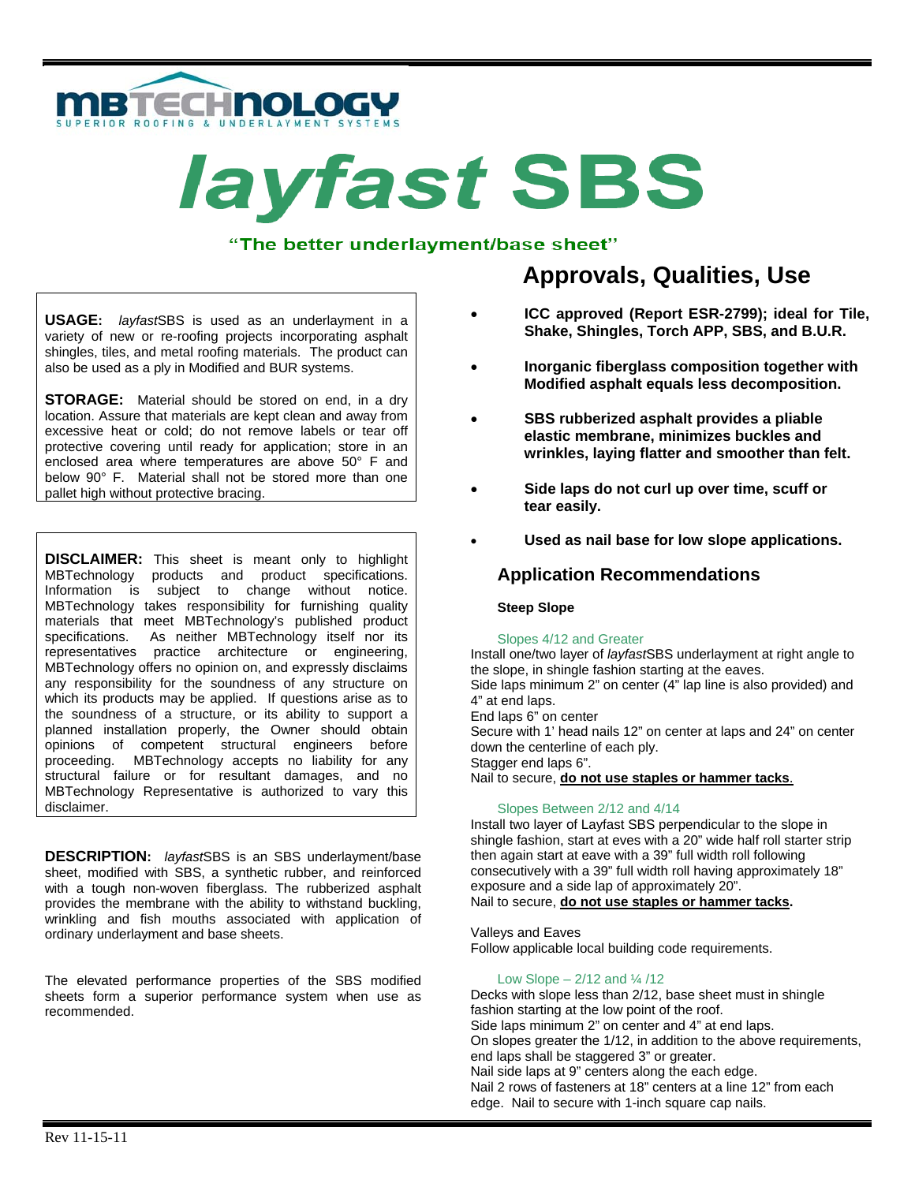

# *layfast* SBS

#### "The better underlayment/base sheet"

**USAGE:** *layfast*SBS is used as an underlayment in a variety of new or re-roofing projects incorporating asphalt shingles, tiles, and metal roofing materials. The product can also be used as a ply in Modified and BUR systems.

**STORAGE:** Material should be stored on end, in a dry location. Assure that materials are kept clean and away from excessive heat or cold; do not remove labels or tear off protective covering until ready for application; store in an enclosed area where temperatures are above 50° F and below 90° F. Material shall not be stored more than one pallet high without protective bracing.

**DISCLAIMER:** This sheet is meant only to highlight MBTechnology products and product specifications. Information is subject to change without notice. MBTechnology takes responsibility for furnishing quality materials that meet MBTechnology's published product specifications. As neither MBTechnology itself nor its representatives practice architecture or engineering, MBTechnology offers no opinion on, and expressly disclaims any responsibility for the soundness of any structure on which its products may be applied. If questions arise as to the soundness of a structure, or its ability to support a planned installation properly, the Owner should obtain opinions of competent structural engineers before proceeding. MBTechnology accepts no liability for any structural failure or for resultant damages, and no MBTechnology Representative is authorized to vary this disclaimer.

**DESCRIPTION:** *layfast*SBS is an SBS underlayment/base sheet, modified with SBS, a synthetic rubber, and reinforced with a tough non-woven fiberglass. The rubberized asphalt provides the membrane with the ability to withstand buckling, wrinkling and fish mouths associated with application of ordinary underlayment and base sheets.

The elevated performance properties of the SBS modified sheets form a superior performance system when use as recommended.

## **Approvals, Qualities, Use**

- **ICC approved (Report ESR-2799); ideal for Tile, Shake, Shingles, Torch APP, SBS, and B.U.R.**
- **Inorganic fiberglass composition together with Modified asphalt equals less decomposition.**
- **SBS rubberized asphalt provides a pliable elastic membrane, minimizes buckles and wrinkles, laying flatter and smoother than felt.**
- **Side laps do not curl up over time, scuff or tear easily.**
- **Used as nail base for low slope applications.**

#### **Application Recommendations**

#### **Steep Slope**

#### Slopes 4/12 and Greater

Install one/two layer of *layfast*SBS underlayment at right angle to the slope, in shingle fashion starting at the eaves. Side laps minimum 2" on center (4" lap line is also provided) and

4" at end laps. End laps 6" on center Secure with 1' head nails 12" on center at laps and 24" on center down the centerline of each ply. Stagger end laps 6". Nail to secure, **do not use staples or hammer tacks**.

#### Slopes Between 2/12 and 4/14

Install two layer of Layfast SBS perpendicular to the slope in shingle fashion, start at eves with a 20" wide half roll starter strip then again start at eave with a 39" full width roll following consecutively with a 39" full width roll having approximately 18" exposure and a side lap of approximately 20". Nail to secure, **do not use staples or hammer tacks.**

Valleys and Eaves

Follow applicable local building code requirements.

#### Low Slope  $-2/12$  and  $\frac{1}{4}$  /12

Decks with slope less than 2/12, base sheet must in shingle fashion starting at the low point of the roof. Side laps minimum 2" on center and 4" at end laps. On slopes greater the 1/12, in addition to the above requirements, end laps shall be staggered 3" or greater. Nail side laps at 9" centers along the each edge. Nail 2 rows of fasteners at 18" centers at a line 12" from each edge. Nail to secure with 1-inch square cap nails.